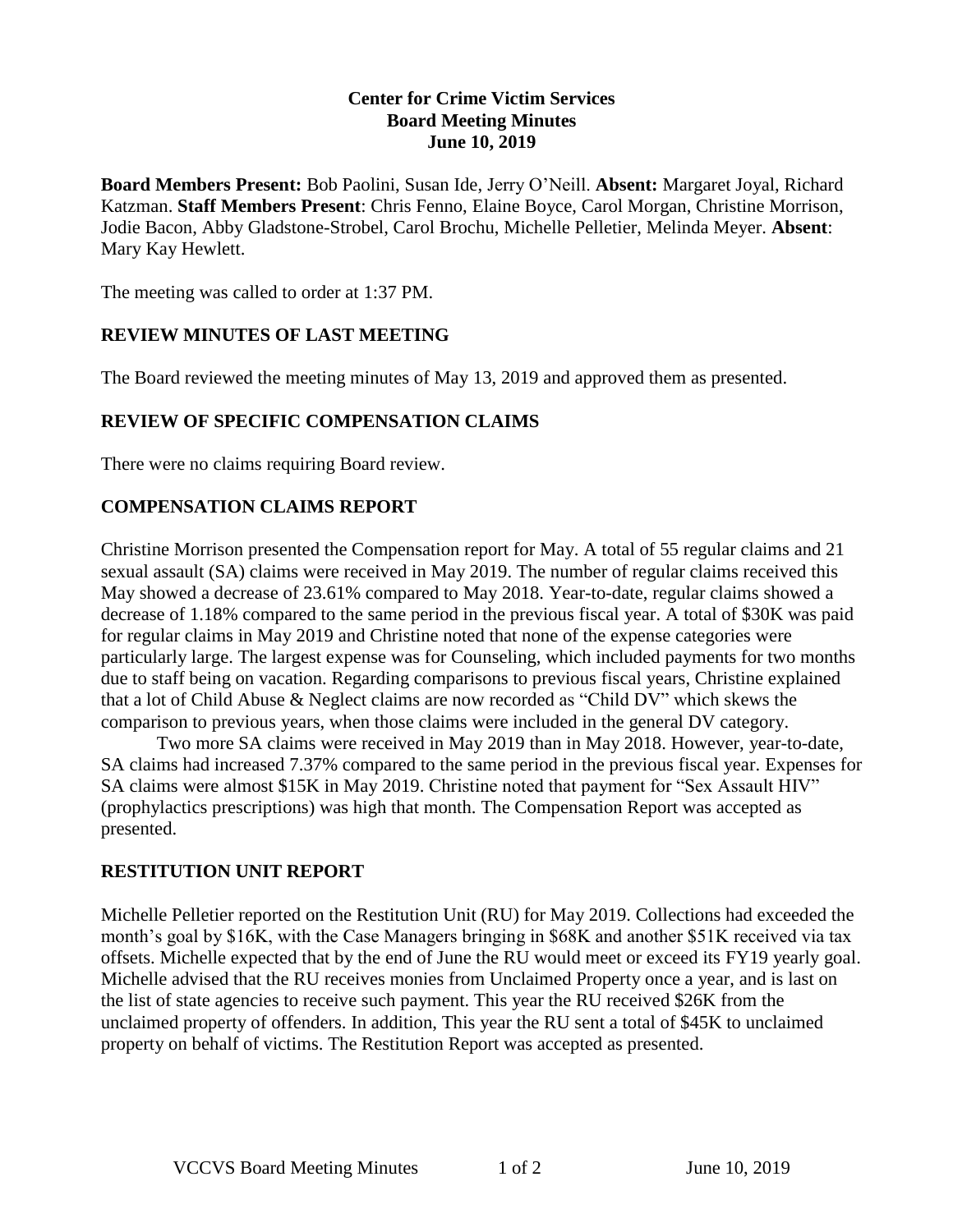#### **Center for Crime Victim Services Board Meeting Minutes June 10, 2019**

**Board Members Present:** Bob Paolini, Susan Ide, Jerry O'Neill. **Absent:** Margaret Joyal, Richard Katzman. **Staff Members Present**: Chris Fenno, Elaine Boyce, Carol Morgan, Christine Morrison, Jodie Bacon, Abby Gladstone-Strobel, Carol Brochu, Michelle Pelletier, Melinda Meyer. **Absent**: Mary Kay Hewlett.

The meeting was called to order at 1:37 PM.

# **REVIEW MINUTES OF LAST MEETING**

The Board reviewed the meeting minutes of May 13, 2019 and approved them as presented.

## **REVIEW OF SPECIFIC COMPENSATION CLAIMS**

There were no claims requiring Board review.

# **COMPENSATION CLAIMS REPORT**

Christine Morrison presented the Compensation report for May. A total of 55 regular claims and 21 sexual assault (SA) claims were received in May 2019. The number of regular claims received this May showed a decrease of 23.61% compared to May 2018. Year-to-date, regular claims showed a decrease of 1.18% compared to the same period in the previous fiscal year. A total of \$30K was paid for regular claims in May 2019 and Christine noted that none of the expense categories were particularly large. The largest expense was for Counseling, which included payments for two months due to staff being on vacation. Regarding comparisons to previous fiscal years, Christine explained that a lot of Child Abuse & Neglect claims are now recorded as "Child DV" which skews the comparison to previous years, when those claims were included in the general DV category.

Two more SA claims were received in May 2019 than in May 2018. However, year-to-date, SA claims had increased 7.37% compared to the same period in the previous fiscal year. Expenses for SA claims were almost \$15K in May 2019. Christine noted that payment for "Sex Assault HIV" (prophylactics prescriptions) was high that month. The Compensation Report was accepted as presented.

## **RESTITUTION UNIT REPORT**

Michelle Pelletier reported on the Restitution Unit (RU) for May 2019. Collections had exceeded the month's goal by \$16K, with the Case Managers bringing in \$68K and another \$51K received via tax offsets. Michelle expected that by the end of June the RU would meet or exceed its FY19 yearly goal. Michelle advised that the RU receives monies from Unclaimed Property once a year, and is last on the list of state agencies to receive such payment. This year the RU received \$26K from the unclaimed property of offenders. In addition, This year the RU sent a total of \$45K to unclaimed property on behalf of victims. The Restitution Report was accepted as presented.